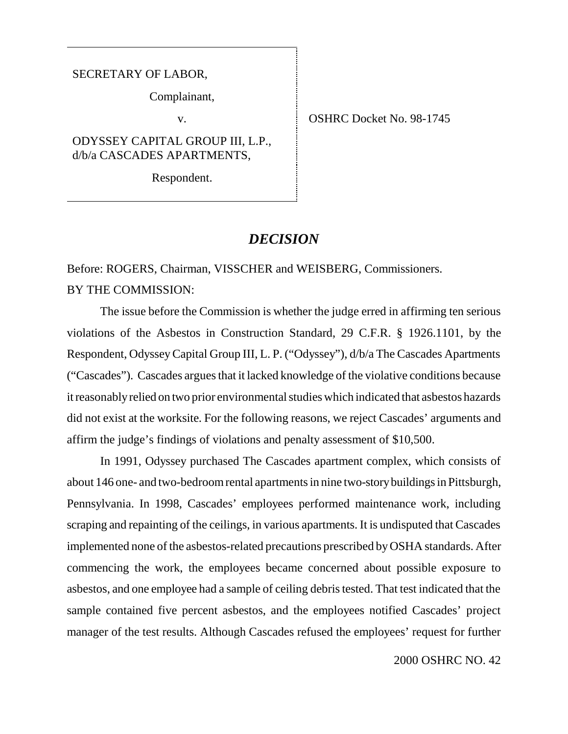#### SECRETARY OF LABOR,

Complainant,

ODYSSEY CAPITAL GROUP III, L.P., d/b/a CASCADES APARTMENTS,

Respondent.

v. SHRC Docket No. 98-1745

## *DECISION*

Before: ROGERS, Chairman, VISSCHER and WEISBERG, Commissioners. BY THE COMMISSION:

The issue before the Commission is whether the judge erred in affirming ten serious violations of the Asbestos in Construction Standard, 29 C.F.R. § 1926.1101, by the Respondent, Odyssey Capital Group III, L. P. ("Odyssey"), d/b/a The Cascades Apartments ("Cascades"). Cascades argues that it lacked knowledge of the violative conditions because it reasonably relied on two prior environmental studies which indicated that asbestos hazards did not exist at the worksite. For the following reasons, we reject Cascades' arguments and affirm the judge's findings of violations and penalty assessment of \$10,500.

In 1991, Odyssey purchased The Cascades apartment complex, which consists of about 146 one- and two-bedroom rental apartments in nine two-story buildings in Pittsburgh, Pennsylvania. In 1998, Cascades' employees performed maintenance work, including scraping and repainting of the ceilings, in various apartments. It is undisputed that Cascades implemented none of the asbestos-related precautions prescribed by OSHA standards. After commencing the work, the employees became concerned about possible exposure to asbestos, and one employee had a sample of ceiling debris tested. That test indicated that the sample contained five percent asbestos, and the employees notified Cascades' project manager of the test results. Although Cascades refused the employees' request for further

2000 OSHRC NO. 42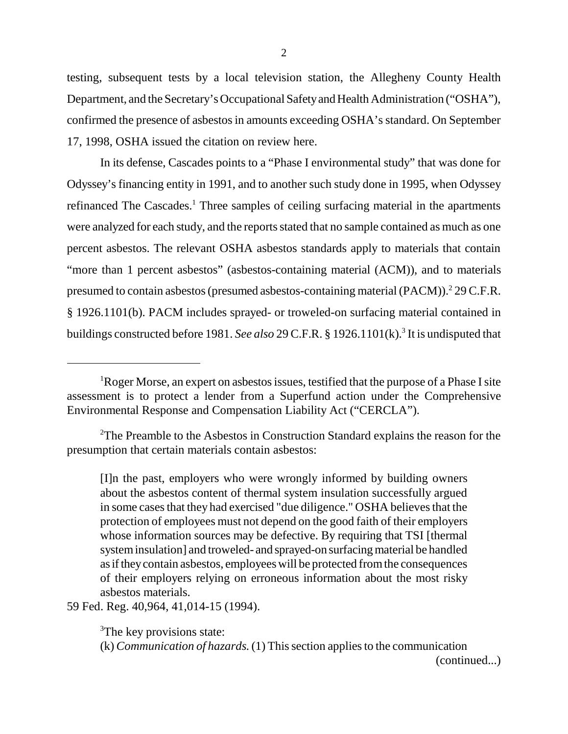testing, subsequent tests by a local television station, the Allegheny County Health Department, and the Secretary's Occupational Safety and Health Administration ("OSHA"), confirmed the presence of asbestos in amounts exceeding OSHA's standard. On September 17, 1998, OSHA issued the citation on review here.

2

In its defense, Cascades points to a "Phase I environmental study" that was done for Odyssey's financing entity in 1991, and to another such study done in 1995, when Odyssey refinanced The Cascades.<sup>1</sup> Three samples of ceiling surfacing material in the apartments were analyzed for each study, and the reports stated that no sample contained as much as one percent asbestos. The relevant OSHA asbestos standards apply to materials that contain "more than 1 percent asbestos" (asbestos-containing material (ACM)), and to materials presumed to contain asbestos (presumed asbestos-containing material (PACM)).<sup>2</sup> 29 C.F.R. § 1926.1101(b). PACM includes sprayed- or troweled-on surfacing material contained in buildings constructed before 1981. *See also* 29 C.F.R. § 1926.1101(k).<sup>3</sup> It is undisputed that

59 Fed. Reg. 40,964, 41,014-15 (1994).

<sup>3</sup>The key provisions state:

(k) *Communication of hazards.* (1) This section applies to the communication

(continued...)

<sup>&</sup>lt;sup>1</sup>Roger Morse, an expert on asbestos issues, testified that the purpose of a Phase I site assessment is to protect a lender from a Superfund action under the Comprehensive Environmental Response and Compensation Liability Act ("CERCLA").

<sup>&</sup>lt;sup>2</sup>The Preamble to the Asbestos in Construction Standard explains the reason for the presumption that certain materials contain asbestos:

<sup>[</sup>I]n the past, employers who were wrongly informed by building owners about the asbestos content of thermal system insulation successfully argued in some cases that they had exercised "due diligence." OSHA believes that the protection of employees must not depend on the good faith of their employers whose information sources may be defective. By requiring that TSI [thermal] system insulation] and troweled- and sprayed-on surfacing material be handled as if they contain asbestos, employees will be protected from the consequences of their employers relying on erroneous information about the most risky asbestos materials.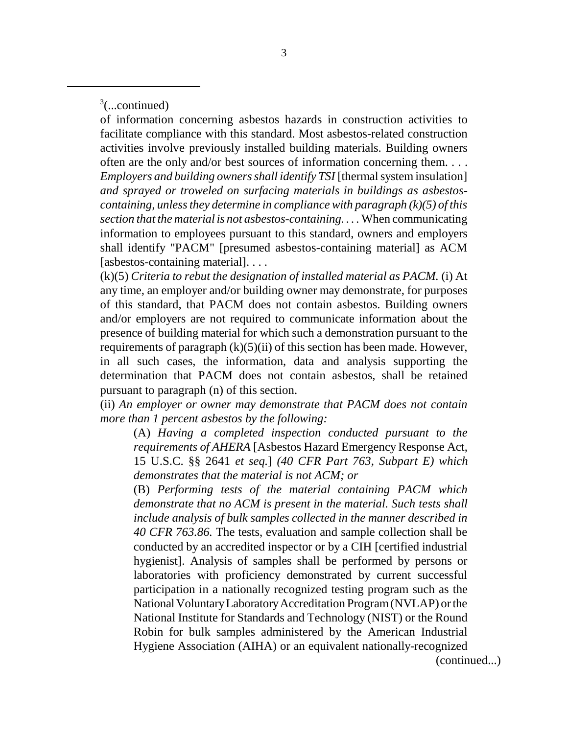$3$ (...continued)

of information concerning asbestos hazards in construction activities to facilitate compliance with this standard. Most asbestos-related construction activities involve previously installed building materials. Building owners often are the only and/or best sources of information concerning them. . . . *Employers and building owners shall identify TSI* [thermal system insulation] *and sprayed or troweled on surfacing materials in buildings as asbestoscontaining, unless they determine in compliance with paragraph (k)(5) of this section that the material is not asbestos-containing. . . .* When communicating information to employees pursuant to this standard, owners and employers shall identify "PACM" [presumed asbestos-containing material] as ACM [asbestos-containing material]. . . .

(k)(5) *Criteria to rebut the designation of installed material as PACM.* (i) At any time, an employer and/or building owner may demonstrate, for purposes of this standard, that PACM does not contain asbestos. Building owners and/or employers are not required to communicate information about the presence of building material for which such a demonstration pursuant to the requirements of paragraph  $(k)(5)(ii)$  of this section has been made. However, in all such cases, the information, data and analysis supporting the determination that PACM does not contain asbestos, shall be retained pursuant to paragraph (n) of this section.

(ii) *An employer or owner may demonstrate that PACM does not contain more than 1 percent asbestos by the following:*

(A) *Having a completed inspection conducted pursuant to the requirements of AHERA* [Asbestos Hazard Emergency Response Act, 15 U.S.C. §§ 2641 *et seq.*] *(40 CFR Part 763, Subpart E) which demonstrates that the material is not ACM; or*

(B) *Performing tests of the material containing PACM which demonstrate that no ACM is present in the material. Such tests shall include analysis of bulk samples collected in the manner described in 40 CFR 763.86.* The tests, evaluation and sample collection shall be conducted by an accredited inspector or by a CIH [certified industrial hygienist]. Analysis of samples shall be performed by persons or laboratories with proficiency demonstrated by current successful participation in a nationally recognized testing program such as the National Voluntary Laboratory Accreditation Program (NVLAP) or the National Institute for Standards and Technology (NIST) or the Round Robin for bulk samples administered by the American Industrial Hygiene Association (AIHA) or an equivalent nationally-recognized

(continued...)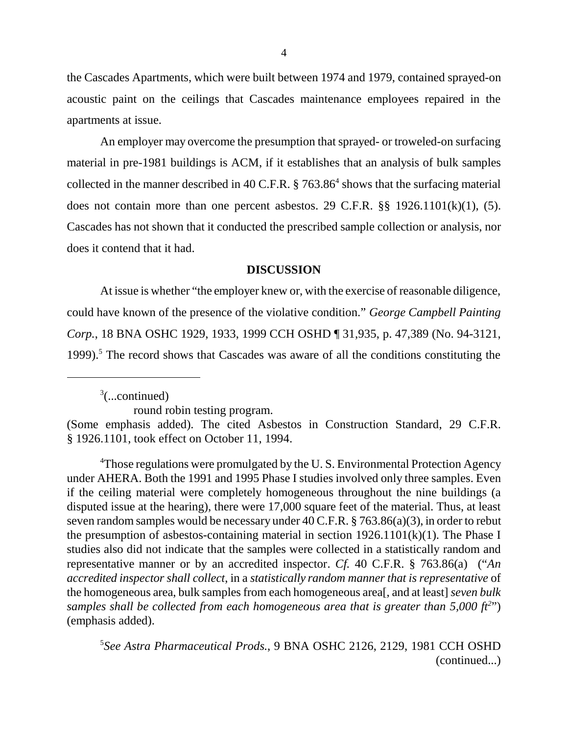the Cascades Apartments, which were built between 1974 and 1979, contained sprayed-on acoustic paint on the ceilings that Cascades maintenance employees repaired in the apartments at issue.

An employer may overcome the presumption that sprayed- or troweled-on surfacing material in pre-1981 buildings is ACM, if it establishes that an analysis of bulk samples collected in the manner described in 40 C.F.R.  $\S 763.86^4$  shows that the surfacing material does not contain more than one percent asbestos. 29 C.F.R. §§ 1926.1101(k)(1), (5). Cascades has not shown that it conducted the prescribed sample collection or analysis, nor does it contend that it had.

#### **DISCUSSION**

At issue is whether "the employer knew or, with the exercise of reasonable diligence, could have known of the presence of the violative condition." *George Campbell Painting Corp.*, 18 BNA OSHC 1929, 1933, 1999 CCH OSHD ¶ 31,935, p. 47,389 (No. 94-3121, 1999).<sup>5</sup> The record shows that Cascades was aware of all the conditions constituting the

 $3$ (...continued)

round robin testing program.

<sup>4</sup>Those regulations were promulgated by the U.S. Environmental Protection Agency under AHERA. Both the 1991 and 1995 Phase I studies involved only three samples. Even if the ceiling material were completely homogeneous throughout the nine buildings (a disputed issue at the hearing), there were 17,000 square feet of the material. Thus, at least seven random samples would be necessary under 40 C.F.R. § 763.86(a)(3), in order to rebut the presumption of asbestos-containing material in section  $1926.1101(k)(1)$ . The Phase I studies also did not indicate that the samples were collected in a statistically random and representative manner or by an accredited inspector. *Cf.* 40 C.F.R. § 763.86(a) ("*An accredited inspector shall collect*, in a *statistically random manner that is representative* of the homogeneous area, bulk samples from each homogeneous area[, and at least] *seven bulk* samples shall be collected from each homogeneous area that is greater than 5,000 ft<sup>2</sup>") (emphasis added).

5 *See Astra Pharmaceutical Prods.*, 9 BNA OSHC 2126, 2129, 1981 CCH OSHD (continued...)

<sup>(</sup>Some emphasis added). The cited Asbestos in Construction Standard, 29 C.F.R. § 1926.1101, took effect on October 11, 1994.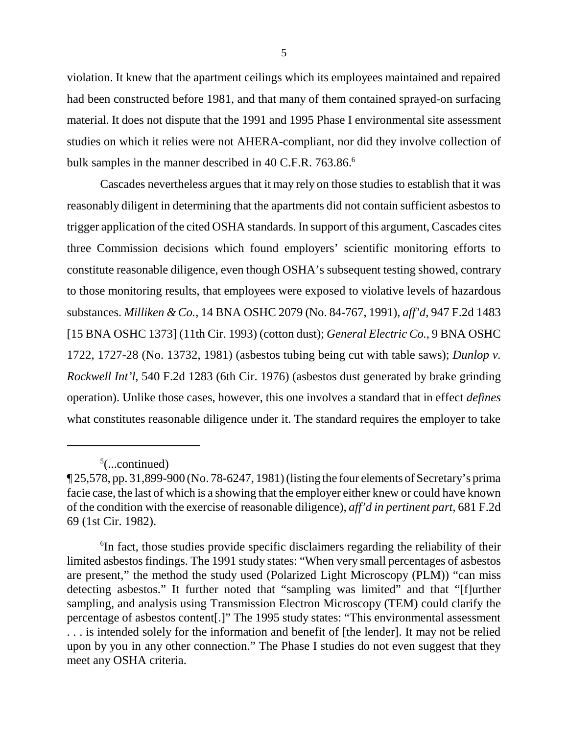violation. It knew that the apartment ceilings which its employees maintained and repaired had been constructed before 1981, and that many of them contained sprayed-on surfacing material. It does not dispute that the 1991 and 1995 Phase I environmental site assessment studies on which it relies were not AHERA-compliant, nor did they involve collection of bulk samples in the manner described in 40 C.F.R. 763.86.<sup>6</sup>

Cascades nevertheless argues that it may rely on those studies to establish that it was reasonably diligent in determining that the apartments did not contain sufficient asbestos to trigger application of the cited OSHA standards. In support of this argument, Cascades cites three Commission decisions which found employers' scientific monitoring efforts to constitute reasonable diligence, even though OSHA's subsequent testing showed, contrary to those monitoring results, that employees were exposed to violative levels of hazardous substances. *Milliken & Co.*, 14 BNA OSHC 2079 (No. 84-767, 1991), *aff'd*, 947 F.2d 1483 [15 BNA OSHC 1373] (11th Cir. 1993) (cotton dust); *General Electric Co.*, 9 BNA OSHC 1722, 1727-28 (No. 13732, 1981) (asbestos tubing being cut with table saws); *Dunlop v. Rockwell Int'l*, 540 F.2d 1283 (6th Cir. 1976) (asbestos dust generated by brake grinding operation). Unlike those cases, however, this one involves a standard that in effect *defines* what constitutes reasonable diligence under it. The standard requires the employer to take

 $5$ (...continued)

 $\P$  25,578, pp. 31,899-900 (No. 78-6247, 1981) (listing the four elements of Secretary's prima facie case, the last of which is a showing that the employer either knew or could have known of the condition with the exercise of reasonable diligence), *aff'd in pertinent part*, 681 F.2d 69 (1st Cir. 1982).

<sup>&</sup>lt;sup>6</sup>In fact, those studies provide specific disclaimers regarding the reliability of their limited asbestos findings. The 1991 study states: "When very small percentages of asbestos are present," the method the study used (Polarized Light Microscopy (PLM)) "can miss detecting asbestos." It further noted that "sampling was limited" and that "[f]urther sampling, and analysis using Transmission Electron Microscopy (TEM) could clarify the percentage of asbestos content[.]" The 1995 study states: "This environmental assessment . . . is intended solely for the information and benefit of [the lender]. It may not be relied upon by you in any other connection." The Phase I studies do not even suggest that they meet any OSHA criteria.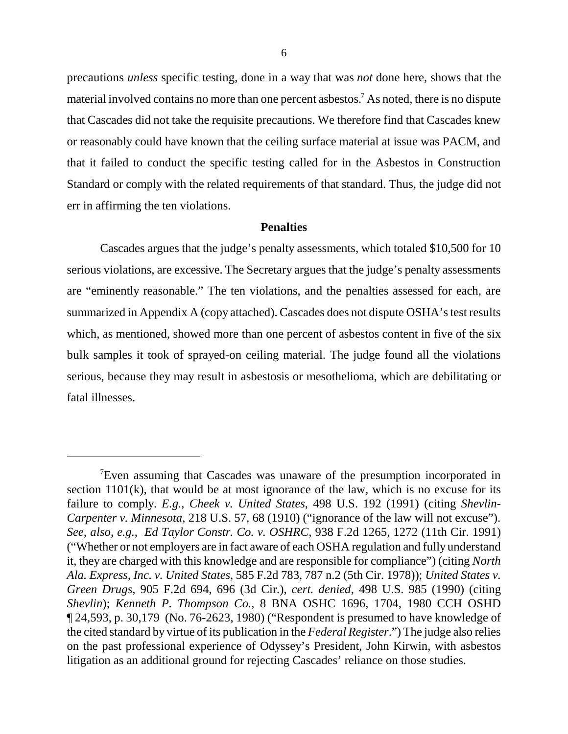precautions *unless* specific testing, done in a way that was *not* done here, shows that the material involved contains no more than one percent asbestos.<sup>7</sup> As noted, there is no dispute that Cascades did not take the requisite precautions. We therefore find that Cascades knew or reasonably could have known that the ceiling surface material at issue was PACM, and that it failed to conduct the specific testing called for in the Asbestos in Construction Standard or comply with the related requirements of that standard. Thus, the judge did not err in affirming the ten violations.

#### **Penalties**

Cascades argues that the judge's penalty assessments, which totaled \$10,500 for 10 serious violations, are excessive. The Secretary argues that the judge's penalty assessments are "eminently reasonable." The ten violations, and the penalties assessed for each, are summarized in Appendix A (copy attached). Cascades does not dispute OSHA's test results which, as mentioned, showed more than one percent of asbestos content in five of the six bulk samples it took of sprayed-on ceiling material. The judge found all the violations serious, because they may result in asbestosis or mesothelioma, which are debilitating or fatal illnesses.

<sup>7</sup> Even assuming that Cascades was unaware of the presumption incorporated in section 1101(k), that would be at most ignorance of the law, which is no excuse for its failure to comply. *E.g., Cheek v. United States*, 498 U.S. 192 (1991) (citing *Shevlin-Carpenter v. Minnesota*, 218 U.S. 57, 68 (1910) ("ignorance of the law will not excuse"). *See, also, e.g., Ed Taylor Constr. Co. v. OSHRC*, 938 F.2d 1265, 1272 (11th Cir. 1991) ("Whether or not employers are in fact aware of each OSHA regulation and fully understand it, they are charged with this knowledge and are responsible for compliance") (citing *North Ala. Express, Inc. v. United States*, 585 F.2d 783, 787 n.2 (5th Cir. 1978)); *United States v. Green Drugs*, 905 F.2d 694, 696 (3d Cir.), *cert. denied*, 498 U.S. 985 (1990) (citing *Shevlin*); *Kenneth P. Thompson Co.*, 8 BNA OSHC 1696, 1704, 1980 CCH OSHD ¶ 24,593, p. 30,179 (No. 76-2623, 1980) ("Respondent is presumed to have knowledge of the cited standard by virtue of its publication in the *Federal Register*.") The judge also relies on the past professional experience of Odyssey's President, John Kirwin, with asbestos litigation as an additional ground for rejecting Cascades' reliance on those studies.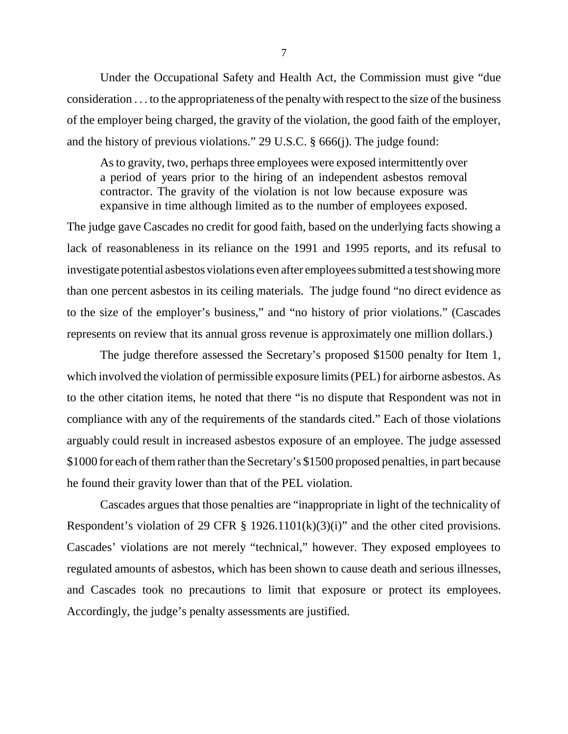Under the Occupational Safety and Health Act, the Commission must give "due consideration . . . to the appropriateness of the penalty with respect to the size of the business of the employer being charged, the gravity of the violation, the good faith of the employer, and the history of previous violations." 29 U.S.C. § 666(j). The judge found:

As to gravity, two, perhaps three employees were exposed intermittently over a period of years prior to the hiring of an independent asbestos removal contractor. The gravity of the violation is not low because exposure was expansive in time although limited as to the number of employees exposed.

The judge gave Cascades no credit for good faith, based on the underlying facts showing a lack of reasonableness in its reliance on the 1991 and 1995 reports, and its refusal to investigate potential asbestos violations even after employees submitted a test showing more than one percent asbestos in its ceiling materials. The judge found "no direct evidence as to the size of the employer's business," and "no history of prior violations." (Cascades represents on review that its annual gross revenue is approximately one million dollars.)

The judge therefore assessed the Secretary's proposed \$1500 penalty for Item 1, which involved the violation of permissible exposure limits (PEL) for airborne asbestos. As to the other citation items, he noted that there "is no dispute that Respondent was not in compliance with any of the requirements of the standards cited." Each of those violations arguably could result in increased asbestos exposure of an employee. The judge assessed \$1000 for each of them rather than the Secretary's \$1500 proposed penalties, in part because he found their gravity lower than that of the PEL violation.

Cascades argues that those penalties are "inappropriate in light of the technicality of Respondent's violation of 29 CFR  $\S$  1926.1101(k)(3)(i)" and the other cited provisions. Cascades' violations are not merely "technical," however. They exposed employees to regulated amounts of asbestos, which has been shown to cause death and serious illnesses, and Cascades took no precautions to limit that exposure or protect its employees. Accordingly, the judge's penalty assessments are justified.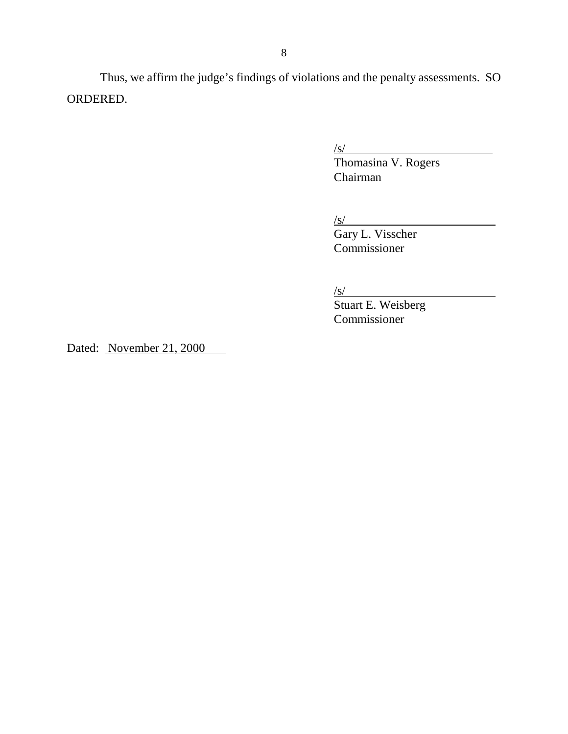Thus, we affirm the judge's findings of violations and the penalty assessments. SO ORDERED.

/s/

Thomasina V. Rogers Chairman

/s/

Gary L. Visscher Commissioner

/s/

Stuart E. Weisberg Commissioner

Dated: November 21, 2000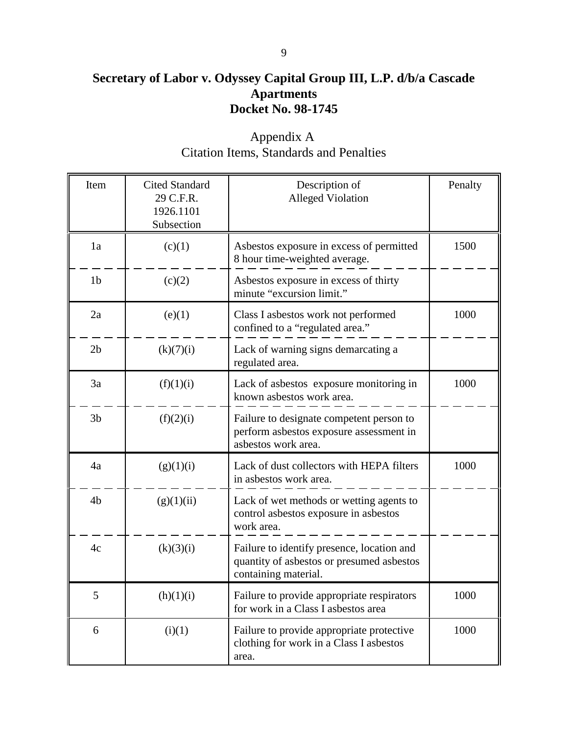# **Secretary of Labor v. Odyssey Capital Group III, L.P. d/b/a Cascade Apartments Docket No. 98-1745**

| Item           | <b>Cited Standard</b><br>29 C.F.R.<br>1926.1101<br>Subsection | Description of<br><b>Alleged Violation</b>                                                                      | Penalty |
|----------------|---------------------------------------------------------------|-----------------------------------------------------------------------------------------------------------------|---------|
| 1a             | (c)(1)                                                        | Asbestos exposure in excess of permitted<br>8 hour time-weighted average.                                       | 1500    |
| 1 <sub>b</sub> | (c)(2)                                                        | Asbestos exposure in excess of thirty<br>minute "excursion limit."                                              |         |
| 2a             | (e)(1)                                                        | Class I asbestos work not performed<br>confined to a "regulated area."                                          | 1000    |
| 2 <sub>b</sub> | (k)(7)(i)                                                     | Lack of warning signs demarcating a<br>regulated area.                                                          |         |
| 3a             | (f)(1)(i)                                                     | Lack of asbestos exposure monitoring in<br>known asbestos work area.                                            | 1000    |
| 3 <sub>b</sub> | (f)(2)(i)                                                     | Failure to designate competent person to<br>perform asbestos exposure assessment in<br>asbestos work area.      |         |
| 4a             | (g)(1)(i)                                                     | Lack of dust collectors with HEPA filters<br>in asbestos work area.                                             | 1000    |
| 4 <sub>b</sub> | (g)(1)(ii)                                                    | Lack of wet methods or wetting agents to<br>control asbestos exposure in asbestos<br>work area.                 |         |
| 4c             | (k)(3)(i)                                                     | Failure to identify presence, location and<br>quantity of asbestos or presumed asbestos<br>containing material. |         |
| 5              | (h)(1)(i)                                                     | Failure to provide appropriate respirators<br>for work in a Class I asbestos area                               | 1000    |
| 6              | (i)(1)                                                        | Failure to provide appropriate protective<br>clothing for work in a Class I asbestos<br>area.                   | 1000    |

Appendix A Citation Items, Standards and Penalties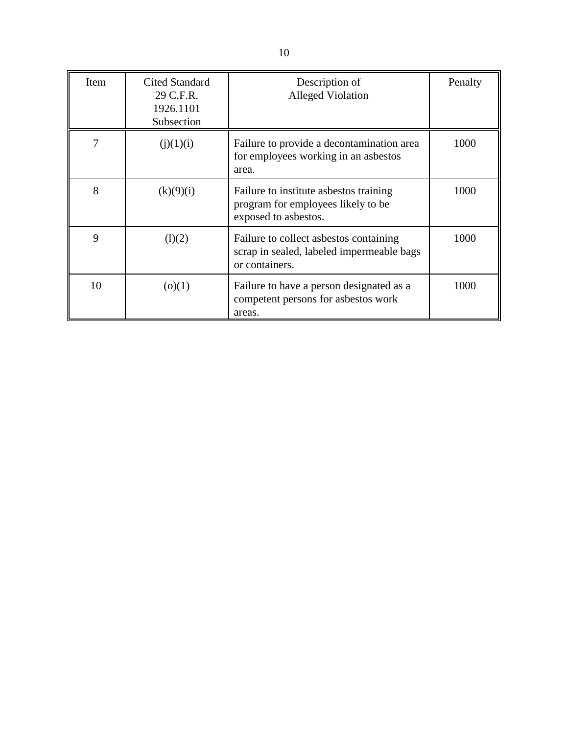| Item | <b>Cited Standard</b><br>29 C.F.R.<br>1926.1101<br>Subsection | Description of<br><b>Alleged Violation</b>                                                            | Penalty |
|------|---------------------------------------------------------------|-------------------------------------------------------------------------------------------------------|---------|
| 7    | (j)(1)(i)                                                     | Failure to provide a decontamination area<br>for employees working in an asbestos<br>area.            | 1000    |
| 8    | (k)(9)(i)                                                     | Failure to institute asbestos training<br>program for employees likely to be<br>exposed to asbestos.  | 1000    |
| 9    | (l)(2)                                                        | Failure to collect asbestos containing<br>scrap in sealed, labeled impermeable bags<br>or containers. | 1000    |
| 10   | (o)(1)                                                        | Failure to have a person designated as a<br>competent persons for asbestos work<br>areas.             | 1000    |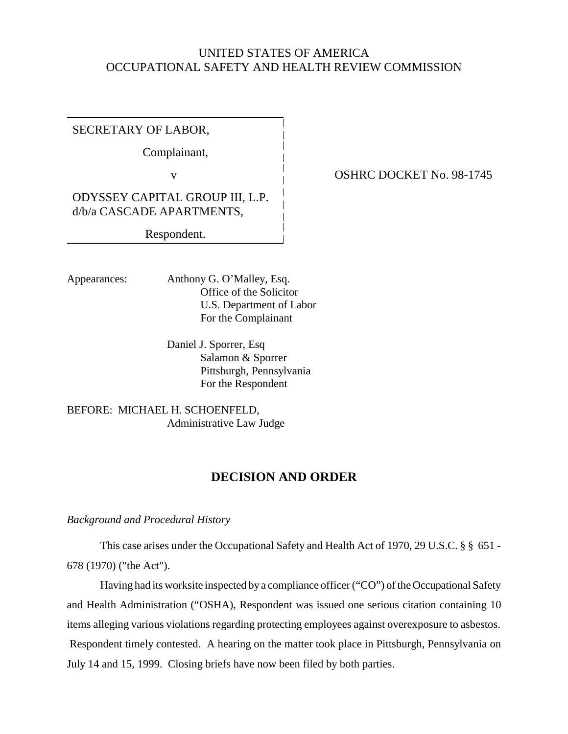# UNITED STATES OF AMERICA OCCUPATIONAL SAFETY AND HEALTH REVIEW COMMISSION

SECRETARY OF LABOR,

Complainant,

ODYSSEY CAPITAL GROUP III, L.P. d/b/a CASCADE APARTMENTS,

Respondent.

Appearances: Anthony G. O'Malley, Esq. Office of the Solicitor U.S. Department of Labor For the Complainant

> Daniel J. Sporrer, Esq Salamon & Sporrer Pittsburgh, Pennsylvania For the Respondent

BEFORE: MICHAEL H. SCHOENFELD, Administrative Law Judge

# **DECISION AND ORDER**

*Background and Procedural History*

This case arises under the Occupational Safety and Health Act of 1970, 29 U.S.C. § § 651 - 678 (1970) ("the Act").

Having had its worksite inspected by a compliance officer ("CO") of the Occupational Safety and Health Administration ("OSHA), Respondent was issued one serious citation containing 10 items alleging various violations regarding protecting employees against overexposure to asbestos. Respondent timely contested. A hearing on the matter took place in Pittsburgh, Pennsylvania on July 14 and 15, 1999. Closing briefs have now been filed by both parties.

v **OSHRC DOCKET No. 98-1745**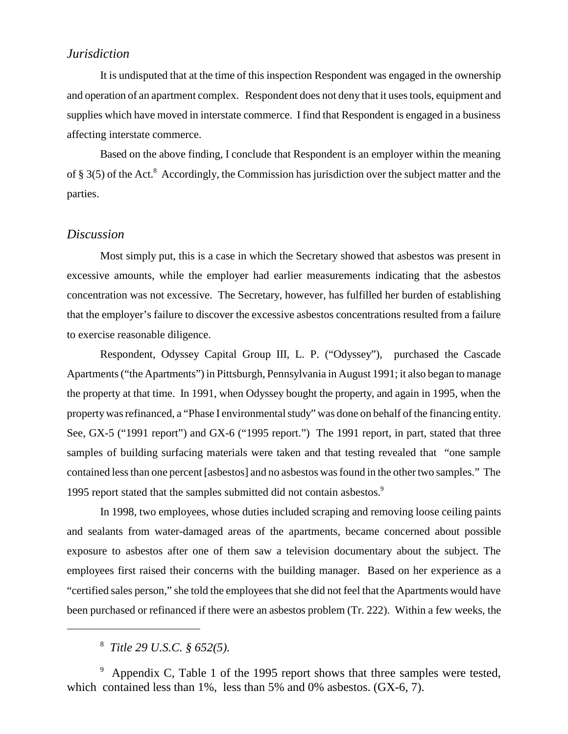## *Jurisdiction*

It is undisputed that at the time of this inspection Respondent was engaged in the ownership and operation of an apartment complex. Respondent does not deny that it uses tools, equipment and supplies which have moved in interstate commerce. I find that Respondent is engaged in a business affecting interstate commerce.

Based on the above finding, I conclude that Respondent is an employer within the meaning of § 3(5) of the Act.<sup>8</sup> Accordingly, the Commission has jurisdiction over the subject matter and the parties.

### *Discussion*

Most simply put, this is a case in which the Secretary showed that asbestos was present in excessive amounts, while the employer had earlier measurements indicating that the asbestos concentration was not excessive. The Secretary, however, has fulfilled her burden of establishing that the employer's failure to discover the excessive asbestos concentrations resulted from a failure to exercise reasonable diligence.

Respondent, Odyssey Capital Group III, L. P. ("Odyssey"), purchased the Cascade Apartments ("the Apartments") in Pittsburgh, Pennsylvania in August 1991; it also began to manage the property at that time. In 1991, when Odyssey bought the property, and again in 1995, when the property was refinanced, a "Phase I environmental study" was done on behalf of the financing entity. See, GX-5 ("1991 report") and GX-6 ("1995 report.") The 1991 report, in part, stated that three samples of building surfacing materials were taken and that testing revealed that "one sample contained less than one percent [asbestos] and no asbestos was found in the other two samples." The 1995 report stated that the samples submitted did not contain asbestos.<sup>9</sup>

In 1998, two employees, whose duties included scraping and removing loose ceiling paints and sealants from water-damaged areas of the apartments, became concerned about possible exposure to asbestos after one of them saw a television documentary about the subject. The employees first raised their concerns with the building manager. Based on her experience as a "certified sales person," she told the employees that she did not feel that the Apartments would have been purchased or refinanced if there were an asbestos problem (Tr. 222). Within a few weeks, the

8  *Title 29 U.S.C. § 652(5).*

<sup>9</sup> Appendix C, Table 1 of the 1995 report shows that three samples were tested, which contained less than 1%, less than 5% and 0% asbestos. (GX-6, 7).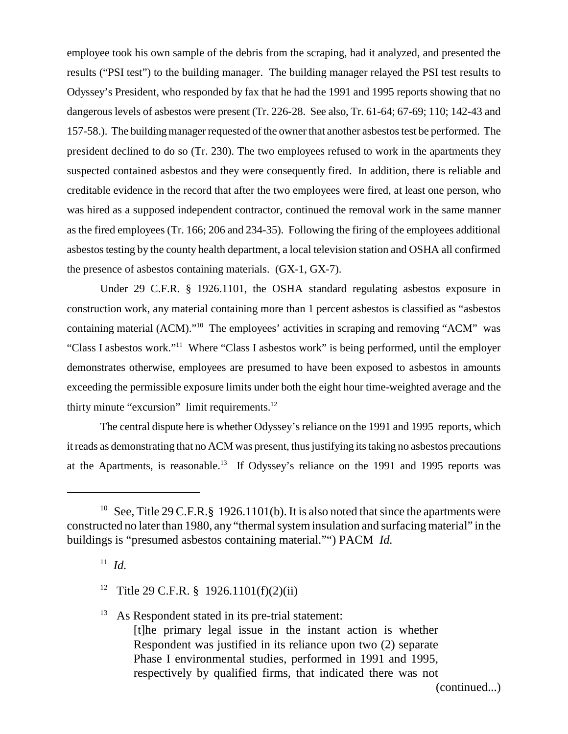employee took his own sample of the debris from the scraping, had it analyzed, and presented the results ("PSI test") to the building manager. The building manager relayed the PSI test results to Odyssey's President, who responded by fax that he had the 1991 and 1995 reports showing that no dangerous levels of asbestos were present (Tr. 226-28. See also, Tr. 61-64; 67-69; 110; 142-43 and 157-58.). The building manager requested of the owner that another asbestos test be performed. The president declined to do so (Tr. 230). The two employees refused to work in the apartments they suspected contained asbestos and they were consequently fired. In addition, there is reliable and creditable evidence in the record that after the two employees were fired, at least one person, who was hired as a supposed independent contractor, continued the removal work in the same manner as the fired employees (Tr. 166; 206 and 234-35). Following the firing of the employees additional asbestos testing by the county health department, a local television station and OSHA all confirmed the presence of asbestos containing materials. (GX-1, GX-7).

Under 29 C.F.R. § 1926.1101, the OSHA standard regulating asbestos exposure in construction work, any material containing more than 1 percent asbestos is classified as "asbestos containing material (ACM)."10 The employees' activities in scraping and removing "ACM" was "Class I asbestos work."11 Where "Class I asbestos work" is being performed, until the employer demonstrates otherwise, employees are presumed to have been exposed to asbestos in amounts exceeding the permissible exposure limits under both the eight hour time-weighted average and the thirty minute "excursion" limit requirements.<sup>12</sup>

The central dispute here is whether Odyssey's reliance on the 1991 and 1995 reports, which it reads as demonstrating that no ACM was present, thus justifying its taking no asbestos precautions at the Apartments, is reasonable.13 If Odyssey's reliance on the 1991 and 1995 reports was

 $13$  As Respondent stated in its pre-trial statement: [t]he primary legal issue in the instant action is whether Respondent was justified in its reliance upon two (2) separate Phase I environmental studies, performed in 1991 and 1995, respectively by qualified firms, that indicated there was not

(continued...)

<sup>&</sup>lt;sup>10</sup> See, Title 29 C.F.R.  $\S$  1926.1101(b). It is also noted that since the apartments were constructed no later than 1980, any "thermal system insulation and surfacing material" in the buildings is "presumed asbestos containing material."") PACM *Id.*

 $11$  *Id.* 

<sup>&</sup>lt;sup>12</sup> Title 29 C.F.R. § 1926.1101(f)(2)(ii)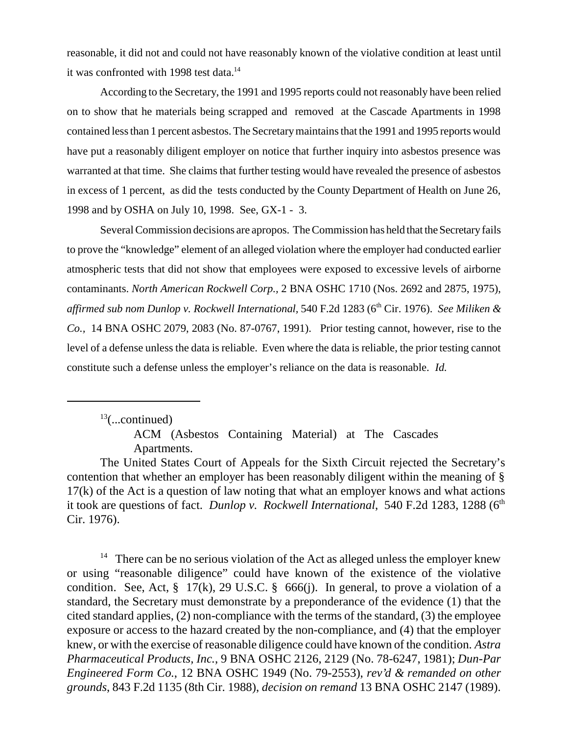reasonable, it did not and could not have reasonably known of the violative condition at least until it was confronted with 1998 test data.<sup>14</sup>

According to the Secretary, the 1991 and 1995 reports could not reasonably have been relied on to show that he materials being scrapped and removed at the Cascade Apartments in 1998 contained less than 1 percent asbestos. The Secretary maintains that the 1991 and 1995 reports would have put a reasonably diligent employer on notice that further inquiry into asbestos presence was warranted at that time. She claims that further testing would have revealed the presence of asbestos in excess of 1 percent, as did the tests conducted by the County Department of Health on June 26, 1998 and by OSHA on July 10, 1998. See, GX-1 - 3.

Several Commission decisions are apropos. The Commission has held that the Secretary fails to prove the "knowledge" element of an alleged violation where the employer had conducted earlier atmospheric tests that did not show that employees were exposed to excessive levels of airborne contaminants. *North American Rockwell Corp.,* 2 BNA OSHC 1710 (Nos. 2692 and 2875, 1975), *affirmed sub nom Dunlop v. Rockwell International,* 540 F.2d 1283 (6th Cir. 1976). *See Miliken & Co.,* 14 BNA OSHC 2079, 2083 (No. 87-0767, 1991). Prior testing cannot, however, rise to the level of a defense unless the data is reliable. Even where the data is reliable, the prior testing cannot constitute such a defense unless the employer's reliance on the data is reasonable. *Id.*

 $13$ (...continued)

<sup>14</sup> There can be no serious violation of the Act as alleged unless the employer knew or using "reasonable diligence" could have known of the existence of the violative condition. See, Act,  $\S$  17(k), 29 U.S.C.  $\S$  666(j). In general, to prove a violation of a standard, the Secretary must demonstrate by a preponderance of the evidence (1) that the cited standard applies, (2) non-compliance with the terms of the standard, (3) the employee exposure or access to the hazard created by the non-compliance, and (4) that the employer knew, or with the exercise of reasonable diligence could have known of the condition. *Astra Pharmaceutical Products, Inc.*, 9 BNA OSHC 2126, 2129 (No. 78-6247, 1981); *Dun-Par Engineered Form Co.*, 12 BNA OSHC 1949 (No. 79-2553), *rev'd & remanded on other grounds*, 843 F.2d 1135 (8th Cir. 1988), *decision on remand* 13 BNA OSHC 2147 (1989).

ACM (Asbestos Containing Material) at The Cascades Apartments.

The United States Court of Appeals for the Sixth Circuit rejected the Secretary's contention that whether an employer has been reasonably diligent within the meaning of § 17(k) of the Act is a question of law noting that what an employer knows and what actions it took are questions of fact. *Dunlop v. Rockwell International*, 540 F.2d 1283, 1288 (6<sup>th</sup>) Cir. 1976).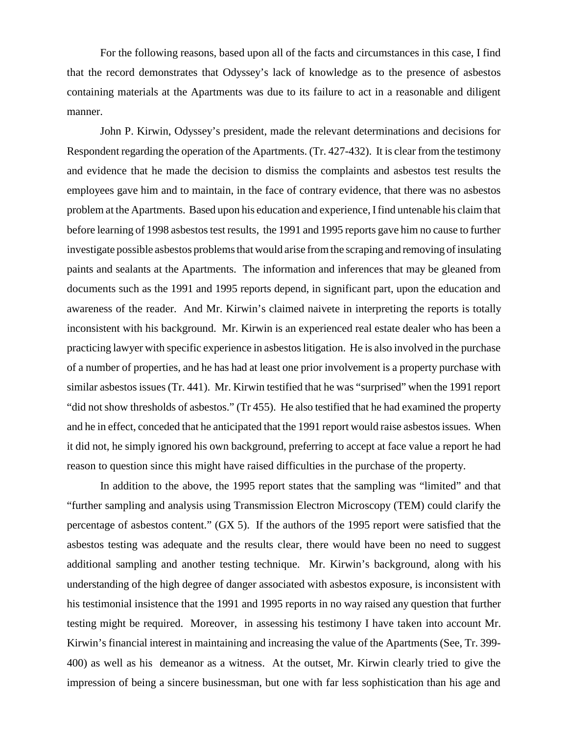For the following reasons, based upon all of the facts and circumstances in this case, I find that the record demonstrates that Odyssey's lack of knowledge as to the presence of asbestos containing materials at the Apartments was due to its failure to act in a reasonable and diligent manner.

John P. Kirwin, Odyssey's president, made the relevant determinations and decisions for Respondent regarding the operation of the Apartments. (Tr. 427-432). It is clear from the testimony and evidence that he made the decision to dismiss the complaints and asbestos test results the employees gave him and to maintain, in the face of contrary evidence, that there was no asbestos problem at the Apartments. Based upon his education and experience, I find untenable his claim that before learning of 1998 asbestos test results, the 1991 and 1995 reports gave him no cause to further investigate possible asbestos problems that would arise from the scraping and removing of insulating paints and sealants at the Apartments. The information and inferences that may be gleaned from documents such as the 1991 and 1995 reports depend, in significant part, upon the education and awareness of the reader. And Mr. Kirwin's claimed naivete in interpreting the reports is totally inconsistent with his background. Mr. Kirwin is an experienced real estate dealer who has been a practicing lawyer with specific experience in asbestos litigation. He is also involved in the purchase of a number of properties, and he has had at least one prior involvement is a property purchase with similar asbestos issues (Tr. 441). Mr. Kirwin testified that he was "surprised" when the 1991 report "did not show thresholds of asbestos." (Tr 455). He also testified that he had examined the property and he in effect, conceded that he anticipated that the 1991 report would raise asbestos issues. When it did not, he simply ignored his own background, preferring to accept at face value a report he had reason to question since this might have raised difficulties in the purchase of the property.

In addition to the above, the 1995 report states that the sampling was "limited" and that "further sampling and analysis using Transmission Electron Microscopy (TEM) could clarify the percentage of asbestos content." (GX 5). If the authors of the 1995 report were satisfied that the asbestos testing was adequate and the results clear, there would have been no need to suggest additional sampling and another testing technique. Mr. Kirwin's background, along with his understanding of the high degree of danger associated with asbestos exposure, is inconsistent with his testimonial insistence that the 1991 and 1995 reports in no way raised any question that further testing might be required. Moreover, in assessing his testimony I have taken into account Mr. Kirwin's financial interest in maintaining and increasing the value of the Apartments (See, Tr. 399- 400) as well as his demeanor as a witness. At the outset, Mr. Kirwin clearly tried to give the impression of being a sincere businessman, but one with far less sophistication than his age and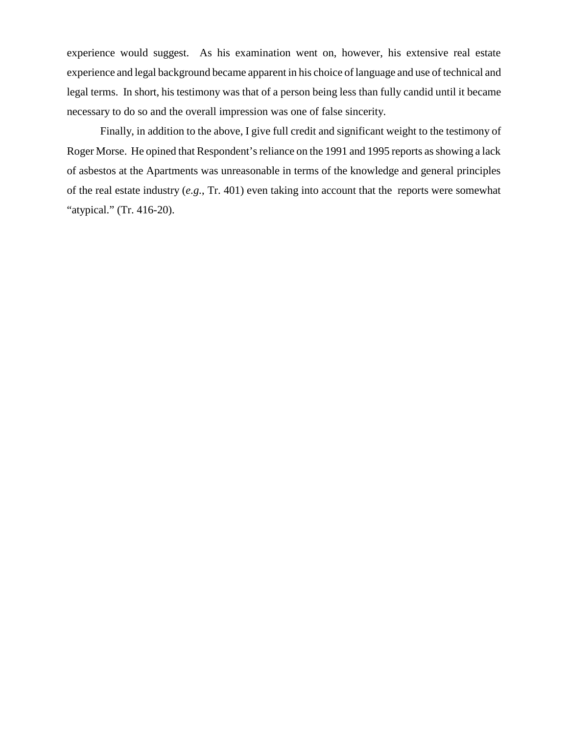experience would suggest. As his examination went on, however, his extensive real estate experience and legal background became apparent in his choice of language and use of technical and legal terms. In short, his testimony was that of a person being less than fully candid until it became necessary to do so and the overall impression was one of false sincerity.

Finally, in addition to the above, I give full credit and significant weight to the testimony of Roger Morse. He opined that Respondent's reliance on the 1991 and 1995 reports as showing a lack of asbestos at the Apartments was unreasonable in terms of the knowledge and general principles of the real estate industry (*e.g.*, Tr. 401) even taking into account that the reports were somewhat "atypical." (Tr. 416-20).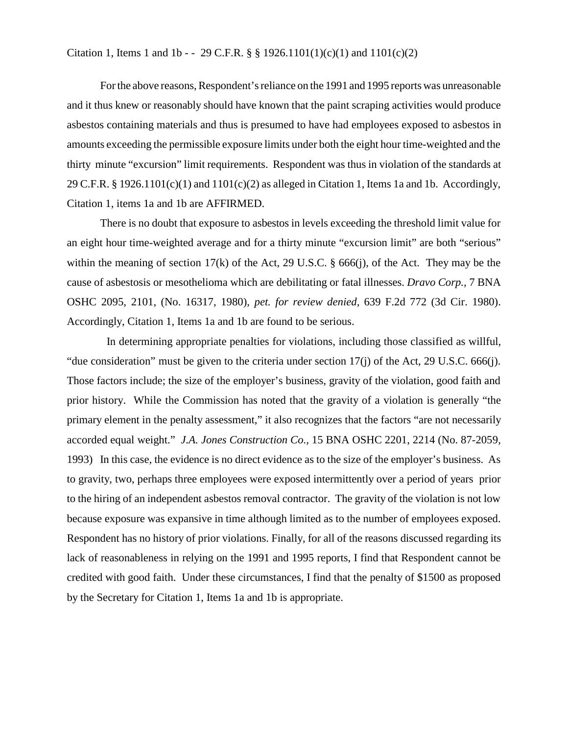#### Citation 1, Items 1 and 1b - - 29 C.F.R. § § 1926.1101(1)(c)(1) and  $1101(c)(2)$

For the above reasons, Respondent's reliance on the 1991 and 1995 reports was unreasonable and it thus knew or reasonably should have known that the paint scraping activities would produce asbestos containing materials and thus is presumed to have had employees exposed to asbestos in amounts exceeding the permissible exposure limits under both the eight hour time-weighted and the thirty minute "excursion" limit requirements. Respondent was thus in violation of the standards at 29 C.F.R. § 1926.1101(c)(1) and  $1101(c)(2)$  as alleged in Citation 1, Items 1a and 1b. Accordingly, Citation 1, items 1a and 1b are AFFIRMED.

There is no doubt that exposure to asbestos in levels exceeding the threshold limit value for an eight hour time-weighted average and for a thirty minute "excursion limit" are both "serious" within the meaning of section  $17(k)$  of the Act, 29 U.S.C. § 666(j), of the Act. They may be the cause of asbestosis or mesothelioma which are debilitating or fatal illnesses. *Dravo Corp.,* 7 BNA OSHC 2095, 2101, (No. 16317, 1980), *pet. for review denied,* 639 F.2d 772 (3d Cir. 1980). Accordingly, Citation 1, Items 1a and 1b are found to be serious.

 In determining appropriate penalties for violations, including those classified as willful, "due consideration" must be given to the criteria under section 17(j) of the Act, 29 U.S.C. 666(j). Those factors include; the size of the employer's business, gravity of the violation, good faith and prior history. While the Commission has noted that the gravity of a violation is generally "the primary element in the penalty assessment," it also recognizes that the factors "are not necessarily accorded equal weight." *J.A. Jones Construction Co.,* 15 BNA OSHC 2201, 2214 (No. 87-2059, 1993) In this case, the evidence is no direct evidence as to the size of the employer's business. As to gravity, two, perhaps three employees were exposed intermittently over a period of years prior to the hiring of an independent asbestos removal contractor. The gravity of the violation is not low because exposure was expansive in time although limited as to the number of employees exposed. Respondent has no history of prior violations. Finally, for all of the reasons discussed regarding its lack of reasonableness in relying on the 1991 and 1995 reports, I find that Respondent cannot be credited with good faith. Under these circumstances, I find that the penalty of \$1500 as proposed by the Secretary for Citation 1, Items 1a and 1b is appropriate.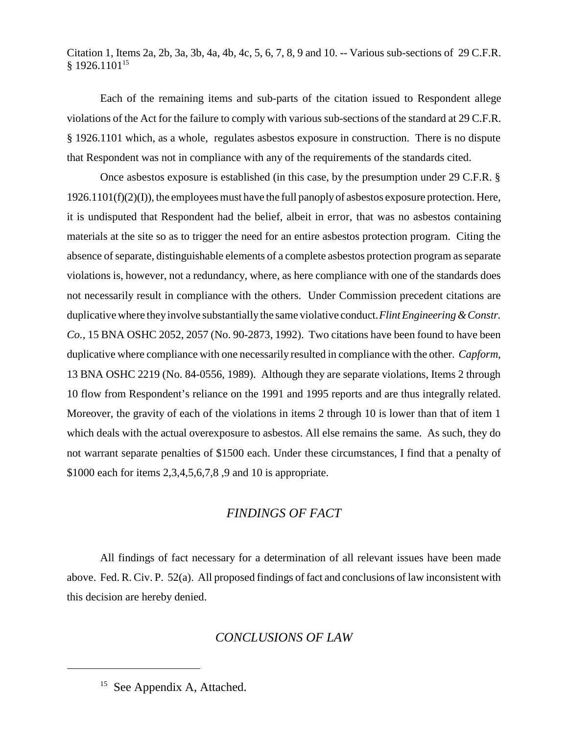Citation 1, Items 2a, 2b, 3a, 3b, 4a, 4b, 4c, 5, 6, 7, 8, 9 and 10. -- Various sub-sections of 29 C.F.R. § 1926.110115

Each of the remaining items and sub-parts of the citation issued to Respondent allege violations of the Act for the failure to comply with various sub-sections of the standard at 29 C.F.R. § 1926.1101 which, as a whole, regulates asbestos exposure in construction. There is no dispute that Respondent was not in compliance with any of the requirements of the standards cited.

Once asbestos exposure is established (in this case, by the presumption under 29 C.F.R. §  $1926.1101(f)(2)(I)$ , the employees must have the full panoply of asbestos exposure protection. Here, it is undisputed that Respondent had the belief, albeit in error, that was no asbestos containing materials at the site so as to trigger the need for an entire asbestos protection program. Citing the absence of separate, distinguishable elements of a complete asbestos protection program as separate violations is, however, not a redundancy, where, as here compliance with one of the standards does not necessarily result in compliance with the others. Under Commission precedent citations are duplicative where they involve substantially the same violative conduct. *Flint Engineering & Constr. Co.,* 15 BNA OSHC 2052, 2057 (No. 90-2873, 1992). Two citations have been found to have been duplicative where compliance with one necessarily resulted in compliance with the other. *Capform,* 13 BNA OSHC 2219 (No. 84-0556, 1989). Although they are separate violations, Items 2 through 10 flow from Respondent's reliance on the 1991 and 1995 reports and are thus integrally related. Moreover, the gravity of each of the violations in items 2 through 10 is lower than that of item 1 which deals with the actual overexposure to asbestos. All else remains the same. As such, they do not warrant separate penalties of \$1500 each. Under these circumstances, I find that a penalty of \$1000 each for items 2,3,4,5,6,7,8 ,9 and 10 is appropriate.

## *FINDINGS OF FACT*

All findings of fact necessary for a determination of all relevant issues have been made above. Fed. R. Civ. P. 52(a). All proposed findings of fact and conclusions of law inconsistent with this decision are hereby denied.

### *CONCLUSIONS OF LAW*

<sup>&</sup>lt;sup>15</sup> See Appendix A, Attached.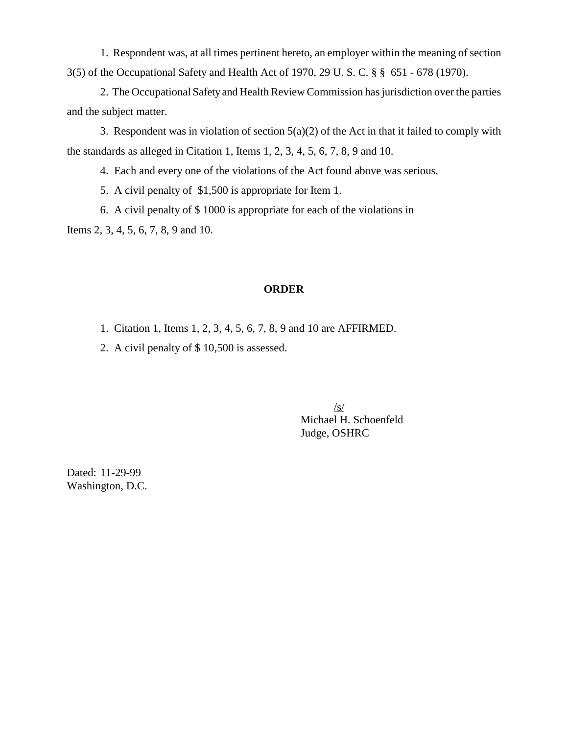1. Respondent was, at all times pertinent hereto, an employer within the meaning of section 3(5) of the Occupational Safety and Health Act of 1970, 29 U. S. C. § § 651 - 678 (1970).

2. The Occupational Safety and Health Review Commission has jurisdiction over the parties and the subject matter.

3. Respondent was in violation of section  $5(a)(2)$  of the Act in that it failed to comply with the standards as alleged in Citation 1, Items 1, 2, 3, 4, 5, 6, 7, 8, 9 and 10.

4. Each and every one of the violations of the Act found above was serious.

5. A civil penalty of \$1,500 is appropriate for Item 1.

6. A civil penalty of \$ 1000 is appropriate for each of the violations in

Items 2, 3, 4, 5, 6, 7, 8, 9 and 10.

### **ORDER**

- 1. Citation 1, Items 1, 2, 3, 4, 5, 6, 7, 8, 9 and 10 are AFFIRMED.
- 2. A civil penalty of \$ 10,500 is assessed.

/s/ Michael H. Schoenfeld Judge, OSHRC

Dated: 11-29-99 Washington, D.C.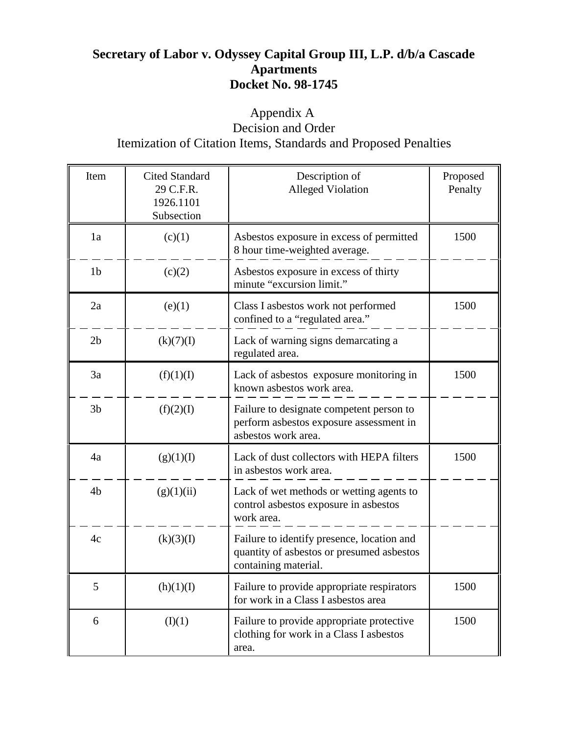# **Secretary of Labor v. Odyssey Capital Group III, L.P. d/b/a Cascade Apartments Docket No. 98-1745**

# Appendix A Decision and Order Itemization of Citation Items, Standards and Proposed Penalties

| Item           | <b>Cited Standard</b><br>29 C.F.R.<br>1926.1101<br>Subsection | Description of<br><b>Alleged Violation</b>                                                                      | Proposed<br>Penalty |
|----------------|---------------------------------------------------------------|-----------------------------------------------------------------------------------------------------------------|---------------------|
| 1a             | (c)(1)                                                        | Asbestos exposure in excess of permitted<br>8 hour time-weighted average.                                       | 1500                |
| 1 <sub>b</sub> | (c)(2)                                                        | Asbestos exposure in excess of thirty<br>minute "excursion limit."                                              |                     |
| 2a             | (e)(1)                                                        | Class I asbestos work not performed<br>confined to a "regulated area."                                          | 1500                |
| 2 <sub>b</sub> | (k)(7)(I)                                                     | Lack of warning signs demarcating a<br>regulated area.                                                          |                     |
| 3a             | (f)(1)(I)                                                     | Lack of asbestos exposure monitoring in<br>known asbestos work area.                                            | 1500                |
| 3 <sub>b</sub> | (f)(2)(I)                                                     | Failure to designate competent person to<br>perform asbestos exposure assessment in<br>asbestos work area.      |                     |
| 4a             | (g)(1)(I)                                                     | Lack of dust collectors with HEPA filters<br>in asbestos work area.                                             | 1500                |
| 4 <sub>b</sub> | (g)(1)(ii)                                                    | Lack of wet methods or wetting agents to<br>control asbestos exposure in asbestos<br>work area.                 |                     |
| 4c             | (k)(3)(I)                                                     | Failure to identify presence, location and<br>quantity of asbestos or presumed asbestos<br>containing material. |                     |
| 5              | (h)(1)(I)                                                     | Failure to provide appropriate respirators<br>for work in a Class I asbestos area                               | 1500                |
| 6              | (I)(1)                                                        | Failure to provide appropriate protective<br>clothing for work in a Class I asbestos<br>area.                   | 1500                |